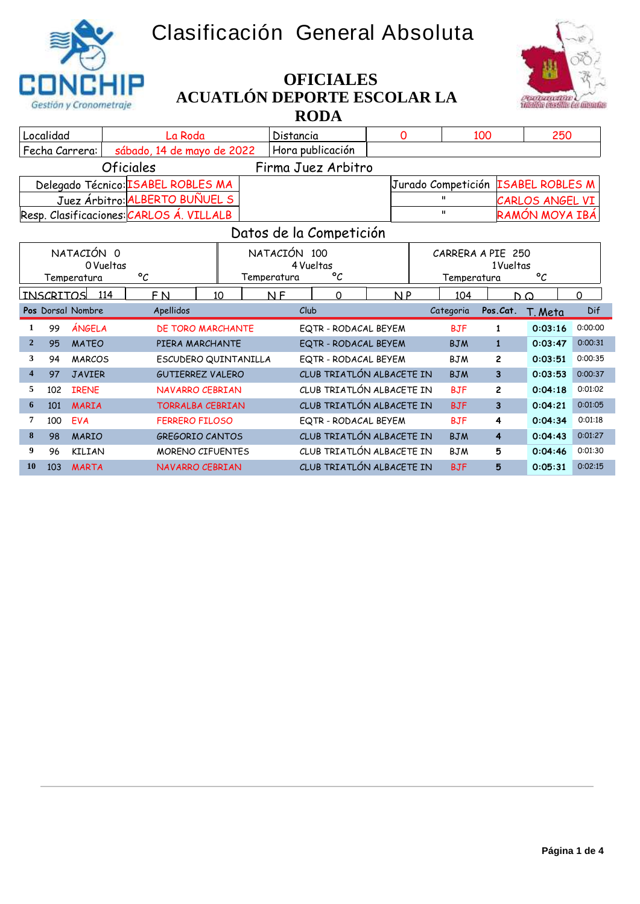## **Clasificación General Absoluta**





## **ACUATLÓN DEPORTE ESCOLAR LA RODA OFICIALES**

|                                    | Localidad                                     |                   | La Roda                                  |                         | Distancia                     |                                                        | $\mathbf{O}$   |                    | 100               |                         | 250            |                    |
|------------------------------------|-----------------------------------------------|-------------------|------------------------------------------|-------------------------|-------------------------------|--------------------------------------------------------|----------------|--------------------|-------------------|-------------------------|----------------|--------------------|
|                                    |                                               | Fecha Carrera:    | sábado, 14 de mayo de 2022               |                         |                               | Hora publicación                                       |                |                    |                   |                         |                |                    |
|                                    | <i><b>Oficiales</b></i><br>Firma Juez Arbitro |                   |                                          |                         |                               |                                                        |                |                    |                   |                         |                |                    |
| Delegado Técnico: ISABEL ROBLES MA |                                               |                   |                                          |                         |                               |                                                        |                | Jurado Competición |                   | <b>ISABEL ROBLES M</b>  |                |                    |
| Juez Árbitro: ALBERTO BUÑUEL S     |                                               |                   |                                          |                         |                               |                                                        |                |                    |                   | CARLOS ANGEL VI         |                |                    |
|                                    |                                               |                   | Resp. Clasificaciones: CARLOS A. VILLALB |                         |                               |                                                        |                |                    |                   |                         | RAMÓN MOYA IBÁ |                    |
|                                    |                                               |                   |                                          |                         |                               | Datos de la Competición                                |                |                    |                   |                         |                |                    |
|                                    |                                               | NATACIÓN 0        |                                          |                         | NATACIÓN 100                  |                                                        |                |                    | CARRERA A PIE 250 |                         |                |                    |
|                                    |                                               | 0 Vueltas         |                                          |                         |                               | 4 Vueltas                                              |                |                    |                   | 1Vueltas                |                |                    |
|                                    |                                               | Temperatura       | $\circ_{\mathcal{C}}$                    |                         | Temperatura                   | $\circ$                                                |                |                    | Temperatura       |                         | $\circ$        |                    |
|                                    | <b>INSCRITOS</b>                              | 114               | F <sub>N</sub>                           | 10                      | $\overline{M}$ $\overline{F}$ | $\Omega$                                               | N <sub>P</sub> |                    | 104               | $D^{\Omega}$            |                | $\Omega$           |
|                                    |                                               |                   |                                          |                         |                               |                                                        |                |                    |                   |                         |                |                    |
|                                    |                                               | Pos Dorsal Nombre | Apellidos                                |                         |                               | Club                                                   |                |                    | Categoria         | Pos.Cat.                | T. Meta        | Dif                |
| 1                                  | 99                                            | ÁNGELA            |                                          | DE TORO MARCHANTE       |                               | EQTR - RODACAL BEYEM                                   |                |                    | <b>BJF</b>        | 1                       | 0:03:16        | 0:00:00            |
| $\overline{2}$                     | 95                                            | <b>MATEO</b>      |                                          | PIERA MARCHANTE         |                               | EQTR - RODACAL BEYEM                                   |                |                    | <b>BJM</b>        | $\mathbf{1}$            | 0:03:47        | 0:00:31            |
| 3                                  | 94                                            | <b>MARCOS</b>     |                                          | ESCUDERO QUINTANILLA    |                               | EQTR - RODACAL BEYEM                                   |                |                    | <b>BJM</b>        | $\overline{c}$          | 0:03:51        |                    |
| 4                                  | 97                                            | <b>JAVIER</b>     |                                          | <b>GUTIERREZ VALERO</b> |                               | CLUB TRIATLÓN ALBACETE IN                              |                |                    | <b>BJM</b>        | $\overline{\mathbf{3}}$ | 0:03:53        | 0:00:35<br>0:00:37 |
| 5                                  | 102                                           | <b>IRENE</b>      |                                          | <b>NAVARRO CEBRIAN</b>  |                               | CLUB TRIATLÓN ALBACETE IN                              |                |                    | <b>BJF</b>        | 2                       | 0:04:18        | 0:01:02            |
| 6                                  | 101                                           | <b>MARIA</b>      |                                          | <b>TORRALBA CEBRIAN</b> |                               | CLUB TRIATLÓN ALBACETE IN                              |                |                    | <b>BJF</b>        | $\overline{\mathbf{3}}$ | 0:04:21        | 0:01:05            |
| 7                                  | 100                                           | <b>EVA</b>        | <b>FERRERO FILOSO</b>                    |                         |                               | EQTR - RODACAL BEYEM                                   |                |                    | <b>BJF</b>        | 4                       | 0:04:34        | 0:01:18            |
| 8                                  | 98                                            | <b>MARIO</b>      |                                          | <b>GREGORIO CANTOS</b>  |                               | CLUB TRIATLÓN ALBACETE IN                              |                |                    | <b>B.TM</b>       | $\overline{4}$          | 0:04:43        | 0:01:27            |
| 9.                                 | 96                                            | KILIAN            |                                          | <b>MORENO CIFUENTES</b> |                               | CLUB TRIATLÓN ALBACETE IN<br>CLUB TRIATLÓN ALBACETE IN |                |                    | <b>BJM</b>        | 5                       | 0:04:46        | 0:01:30            |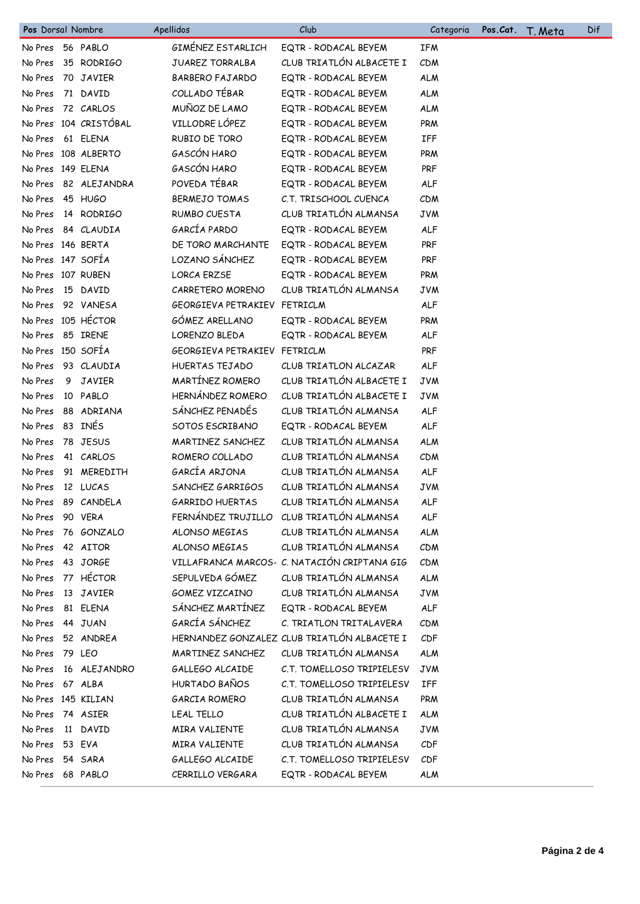| Pos Dorsal Nombre  |   |                       | Apellidos                    | Club                                         | Categoria  | Pos.Cat. | T. Meta | Dif |
|--------------------|---|-----------------------|------------------------------|----------------------------------------------|------------|----------|---------|-----|
| No Pres 56 PABLO   |   |                       | GIMENEZ ESTARLICH            | EQTR - RODACAL BEYEM                         | <b>IFM</b> |          |         |     |
| No Pres            |   | 35 RODRIGO            | JUAREZ TORRALBA              | CLUB TRIATLÓN ALBACETE I                     | CDM        |          |         |     |
| No Pres            |   | 70 JAVIER             | <b>BARBERO FAJARDO</b>       | EQTR - RODACAL BEYEM                         | <b>ALM</b> |          |         |     |
| No Pres            |   | 71 DAVID              | COLLADO TÉBAR                | EQTR - RODACAL BEYEM                         | <b>ALM</b> |          |         |     |
| No Pres            |   | 72 CARLOS             | MUÑOZ DE LAMO                | EQTR - RODACAL BEYEM                         | <b>ALM</b> |          |         |     |
|                    |   | No Pres 104 CRISTÓBAL | VILLODRE LÓPEZ               | EQTR - RODACAL BEYEM                         | PRM        |          |         |     |
| No Pres            |   | 61 ELENA              | RUBIO DE TORO                | EQTR - RODACAL BEYEM                         | IFF        |          |         |     |
|                    |   | No Pres 108 ALBERTO   | GASCÓN HARO                  | EQTR - RODACAL BEYEM                         | <b>PRM</b> |          |         |     |
| No Pres 149 ELENA  |   |                       | GASCÓN HARO                  | EQTR - RODACAL BEYEM                         | <b>PRF</b> |          |         |     |
| No Pres            |   | 82 ALEJANDRA          | POVEDA TÉBAR                 | EQTR - RODACAL BEYEM                         | ALF        |          |         |     |
| No Pres            |   | 45 HUGO               | <b>BERMEJO TOMAS</b>         | C.T. TRISCHOOL CUENCA                        | CDM        |          |         |     |
| No Pres            |   | 14 RODRIGO            | RUMBO CUESTA                 | CLUB TRIATLÓN ALMANSA                        | <b>JVM</b> |          |         |     |
| No Pres            |   | 84 CLAUDIA            | GARCÍA PARDO                 | EQTR - RODACAL BEYEM                         | <b>ALF</b> |          |         |     |
| No Pres 146 BERTA  |   |                       | DE TORO MARCHANTE            | EQTR - RODACAL BEYEM                         | PRF        |          |         |     |
| No Pres 147 SOFÍA  |   |                       | LOZANO SÁNCHEZ               | EQTR - RODACAL BEYEM                         | PRF        |          |         |     |
| No Pres 107 RUBEN  |   |                       | <b>LORCA ERZSE</b>           | EQTR - RODACAL BEYEM                         | PRM        |          |         |     |
| No Pres            |   | 15 DAVID              | CARRETERO MORENO             | CLUB TRIATLÓN ALMANSA                        | <b>JVM</b> |          |         |     |
| No Pres            |   | 92 VANESA             | GEORGIEVA PETRAKIEV FETRICLM |                                              | ALF        |          |         |     |
|                    |   | No Pres 105 HÉCTOR    | GÓMEZ ARELLANO               | EQTR - RODACAL BEYEM                         | PRM        |          |         |     |
| No Pres            |   | 85 IRENE              | LORENZO BLEDA                | EQTR - RODACAL BEYEM                         | <b>ALF</b> |          |         |     |
| No Pres 150 SOFÍA  |   |                       | GEORGIEVA PETRAKIEV FETRICLM |                                              | <b>PRF</b> |          |         |     |
| No Pres            |   | 93 CLAUDIA            | HUERTAS TEJADO               | CLUB TRIATLON ALCAZAR                        | ALF        |          |         |     |
| No Pres            | 9 | <b>JAVIER</b>         | MARTÍNEZ ROMERO              | CLUB TRIATLÓN ALBACETE I                     | <b>JVM</b> |          |         |     |
| No Pres            |   | 10 PABLO              | HERNÁNDEZ ROMERO             | CLUB TRIATLÓN ALBACETE I                     | <b>JVM</b> |          |         |     |
| No Pres            |   | 88 ADRIANA            | SÁNCHEZ PENADÉS              | CLUB TRIATLÓN ALMANSA                        | <b>ALF</b> |          |         |     |
| No Pres            |   | 83 INES               | SOTOS ESCRIBANO              | EQTR - RODACAL BEYEM                         | <b>ALF</b> |          |         |     |
| No Pres            |   | 78 JESUS              | MARTINEZ SANCHEZ             | CLUB TRIATLÓN ALMANSA                        | <b>ALM</b> |          |         |     |
| No Pres            |   | 41 CARLOS             | ROMERO COLLADO               | CLUB TRIATLÓN ALMANSA                        | CDM        |          |         |     |
| No Pres            |   | 91 MEREDITH           | GARCÍA ARJONA                | CLUB TRIATLÓN ALMANSA                        | <b>ALF</b> |          |         |     |
| No Pres            |   | 12 LUCAS              | SANCHEZ GARRIGOS             | CLUB TRIATLÓN ALMANSA                        | <b>JVM</b> |          |         |     |
| No Pres            |   | 89 CANDELA            | <b>GARRIDO HUERTAS</b>       | CLUB TRIATLÓN ALMANSA                        | <b>ALF</b> |          |         |     |
| No Pres            |   | 90 VERA               |                              | FERNÁNDEZ TRUJILLO CLUB TRIATLÓN ALMANSA     | <b>ALF</b> |          |         |     |
| No Pres            |   | 76 GONZALO            | ALONSO MEGIAS                | CLUB TRIATLÓN ALMANSA                        | <b>ALM</b> |          |         |     |
| No Pres            |   | 42 AITOR              | ALONSO MEGIAS                | CLUB TRIATLÓN ALMANSA                        | CDM        |          |         |     |
| No Pres            |   | 43 JORGE              |                              | VILLAFRANCA MARCOS- C. NATACIÓN CRIPTANA GIG | <b>CDM</b> |          |         |     |
| No Pres            |   | 77 HÉCTOR             | SEPULVEDA GÓMEZ              | CLUB TRIATLÓN ALMANSA                        | <b>ALM</b> |          |         |     |
| No Pres            |   | 13 JAVIER             | GOMEZ VIZCAINO               | CLUB TRIATLÓN ALMANSA                        | <b>JVM</b> |          |         |     |
| No Pres            |   | 81 ELENA              | SÁNCHEZ MARTÍNEZ             | EQTR - RODACAL BEYEM                         | <b>ALF</b> |          |         |     |
| No Pres            |   | 44 JUAN               | GARCÍA SÁNCHEZ               | C. TRIATLON TRITALAVERA                      | <b>CDM</b> |          |         |     |
| No Pres            |   | 52 ANDREA             |                              | HERNANDEZ GONZALEZ CLUB TRIATLÓN ALBACETE I  | CDF        |          |         |     |
| No Pres            |   | 79 LEO                | MARTINEZ SANCHEZ             | CLUB TRIATLÓN ALMANSA                        | <b>ALM</b> |          |         |     |
| No Pres            |   | 16 ALEJANDRO          | GALLEGO ALCAIDE              | C.T. TOMELLOSO TRIPIELESV                    | <b>JVM</b> |          |         |     |
| No Pres            |   | 67 ALBA               | HURTADO BAÑOS                | C.T. TOMELLOSO TRIPIELESV                    | IFF        |          |         |     |
| No Pres 145 KILIAN |   |                       | GARCIA ROMERO                | CLUB TRIATLÓN ALMANSA                        | PRM        |          |         |     |
| No Pres            |   | 74 ASIER              | LEAL TELLO                   | CLUB TRIATLÓN ALBACETE I                     | <b>ALM</b> |          |         |     |
| No Pres            |   | 11 DAVID              | MIRA VALIENTE                | CLUB TRIATLÓN ALMANSA                        | <b>JVM</b> |          |         |     |
| No Pres            |   | 53 EVA                | MIRA VALIENTE                | CLUB TRIATLÓN ALMANSA                        | CDF        |          |         |     |
| No Pres            |   | 54 SARA               | GALLEGO ALCAIDE              | C.T. TOMELLOSO TRIPIELESV                    | CDF        |          |         |     |
| No Pres 68 PABLO   |   |                       | CERRILLO VERGARA             | EQTR - RODACAL BEYEM                         | <b>ALM</b> |          |         |     |
|                    |   |                       |                              |                                              |            |          |         |     |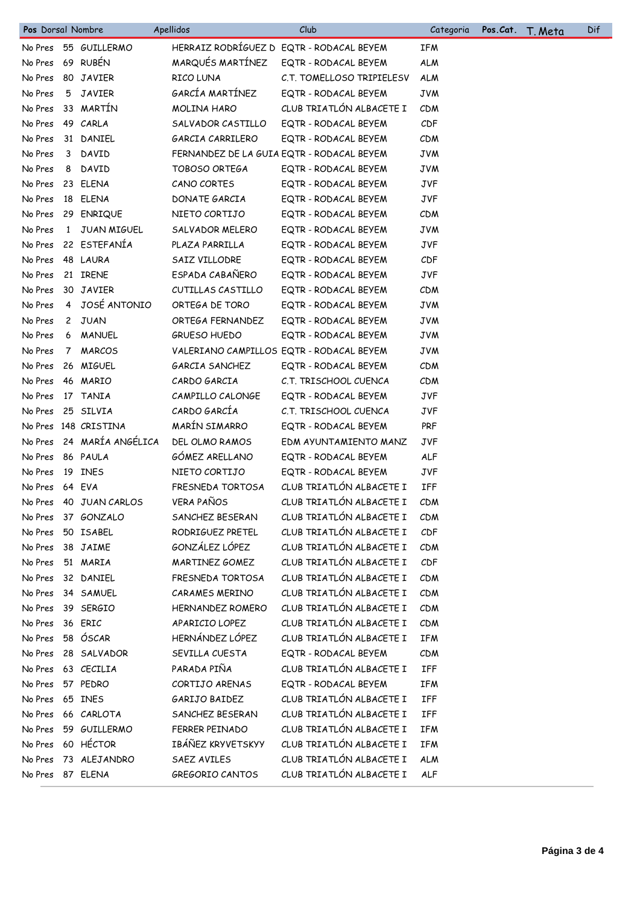| Pos Dorsal Nombre |              |                      | Apellidos            | Club                                      | Categoria  | Pos.Cat. | T. Meta | Dif |
|-------------------|--------------|----------------------|----------------------|-------------------------------------------|------------|----------|---------|-----|
| No Pres           |              | 55 GUILLERMO         |                      | HERRAIZ RODRÍGUEZ D EQTR - RODACAL BEYEM  | <b>IFM</b> |          |         |     |
| No Pres           |              | 69 RUBÉN             | MARQUÉS MARTÍNEZ     | EQTR - RODACAL BEYEM                      | <b>ALM</b> |          |         |     |
| No Pres           |              | 80 JAVIER            | RICO LUNA            | C.T. TOMELLOSO TRIPIELESV                 | <b>ALM</b> |          |         |     |
| No Pres           |              | 5 JAVIER             | GARCÍA MARTÍNEZ      | EQTR - RODACAL BEYEM                      | <b>JVM</b> |          |         |     |
| No Pres           |              | 33 MARTÍN            | MOLINA HARO          | CLUB TRIATLÓN ALBACETE I                  | <b>CDM</b> |          |         |     |
| No Pres           |              | 49 CARLA             | SALVADOR CASTILLO    | EQTR - RODACAL BEYEM                      | CDF        |          |         |     |
| No Pres           |              | 31 DANIEL            | GARCIA CARRILERO     | EQTR - RODACAL BEYEM                      | CDM        |          |         |     |
| No Pres           |              | 3 DAVID              |                      | FERNANDEZ DE LA GUIA EQTR - RODACAL BEYEM | <b>JVM</b> |          |         |     |
| No Pres           | 8            | DAVID                | <b>TOBOSO ORTEGA</b> | EQTR - RODACAL BEYEM                      | <b>JVM</b> |          |         |     |
| No Pres           |              | 23 ELENA             | CANO CORTES          | EQTR - RODACAL BEYEM                      | <b>JVF</b> |          |         |     |
| No Pres           |              | 18 ELENA             | DONATE GARCIA        | EQTR - RODACAL BEYEM                      | <b>JVF</b> |          |         |     |
| No Pres           |              | 29 ENRIQUE           | NIETO CORTIJO        | EQTR - RODACAL BEYEM                      | <b>CDM</b> |          |         |     |
| No Pres           | $\mathbf{1}$ | JUAN MIGUEL          | SALVADOR MELERO      | EQTR - RODACAL BEYEM                      | <b>JVM</b> |          |         |     |
| No Pres           |              | 22 ESTEFANÍA         | PLAZA PARRILLA       | EQTR - RODACAL BEYEM                      | <b>JVF</b> |          |         |     |
| No Pres           |              | 48 LAURA             | SAIZ VILLODRE        | EQTR - RODACAL BEYEM                      | CDF        |          |         |     |
| No Pres           |              | 21 IRENE             | ESPADA CABAÑERO      | EQTR - RODACAL BEYEM                      | <b>JVF</b> |          |         |     |
| No Pres           |              | 30 JAVIER            | CUTILLAS CASTILLO    | EQTR - RODACAL BEYEM                      | <b>CDM</b> |          |         |     |
| No Pres           |              | 4 JOSÉ ANTONIO       | ORTEGA DE TORO       | EQTR - RODACAL BEYEM                      | <b>JVM</b> |          |         |     |
| No Pres           | $\mathbf{2}$ | JUAN                 | ORTEGA FERNANDEZ     | EQTR - RODACAL BEYEM                      | <b>JVM</b> |          |         |     |
| No Pres           |              | 6 MANUEL             | <b>GRUESO HUEDO</b>  | EQTR - RODACAL BEYEM                      | <b>JAW</b> |          |         |     |
| No Pres           | $7^{\circ}$  | <b>MARCOS</b>        |                      | VALERIANO CAMPILLOS EQTR - RODACAL BEYEM  | <b>JVM</b> |          |         |     |
| No Pres           |              | 26 MIGUEL            | GARCIA SANCHEZ       | EQTR - RODACAL BEYEM                      | <b>CDM</b> |          |         |     |
| No Pres           |              | 46 MARIO             | CARDO GARCIA         | C.T. TRISCHOOL CUENCA                     | <b>CDM</b> |          |         |     |
| No Pres           |              | 17 TANIA             | CAMPILLO CALONGE     | EQTR - RODACAL BEYEM                      | <b>JVF</b> |          |         |     |
| No Pres           |              | 25 SILVIA            | CARDO GARCÍA         | C.T. TRISCHOOL CUENCA                     | <b>JVF</b> |          |         |     |
|                   |              | No Pres 148 CRISTINA | MARÍN SIMARRO        | EQTR - RODACAL BEYEM                      | PRF        |          |         |     |
| No Pres           |              | 24 MARÍA ANGÉLICA    | DEL OLMO RAMOS       | EDM AYUNTAMIENTO MANZ                     | <b>JVF</b> |          |         |     |
| No Pres           |              | 86 PAULA             | GÓMEZ ARELLANO       | EQTR - RODACAL BEYEM                      | <b>ALF</b> |          |         |     |
| No Pres           |              | 19 INES              | NIETO CORTIJO        | EQTR - RODACAL BEYEM                      | <b>JVF</b> |          |         |     |
| No Pres           |              | 64 EVA               | FRESNEDA TORTOSA     | CLUB TRIATLÓN ALBACETE I                  | IFF        |          |         |     |
| No Pres           |              | 40 JUAN CARLOS       | <b>VERA PAÑOS</b>    | CLUB TRIATLÓN ALBACETE I                  | <b>CDM</b> |          |         |     |
| No Pres           |              | 37 GONZALO           | SANCHEZ BESERAN      | CLUB TRIATLÓN ALBACETE I                  | <b>CDM</b> |          |         |     |
| No Pres           |              | 50 ISABEL            | RODRIGUEZ PRETEL     | CLUB TRIATLÓN ALBACETE I                  | CDF        |          |         |     |
| No Pres           |              | 38 JAIME             | GONZÁLEZ LÓPEZ       | CLUB TRIATLÓN ALBACETE I                  | <b>CDM</b> |          |         |     |
| No Pres           |              | 51 MARIA             | MARTINEZ GOMEZ       | CLUB TRIATLÓN ALBACETE I                  | CDF        |          |         |     |
| No Pres           |              | 32 DANIEL            | FRESNEDA TORTOSA     | CLUB TRIATLÓN ALBACETE I                  | CDM        |          |         |     |
| No Pres           |              | 34 SAMUEL            | CARAMES MERINO       | CLUB TRIATLÓN ALBACETE I                  | CDM        |          |         |     |
| No Pres           |              | 39 SERGIO            | HERNANDEZ ROMERO     | CLUB TRIATLÓN ALBACETE I                  | CDM        |          |         |     |
| No Pres           |              | 36 ERIC              | APARICIO LOPEZ       | CLUB TRIATLÓN ALBACETE I                  | CDM        |          |         |     |
| No Pres           |              | 58 ÓSCAR             | HERNÁNDEZ LÓPEZ      | CLUB TRIATLÓN ALBACETE I                  | <b>IFM</b> |          |         |     |
| No Pres           |              | 28 SALVADOR          | SEVILLA CUESTA       | EQTR - RODACAL BEYEM                      | CDM        |          |         |     |
| No Pres           |              | 63 CECILIA           | PARADA PIÑA          | CLUB TRIATLÓN ALBACETE I                  | IFF        |          |         |     |
| No Pres           |              | 57 PEDRO             | CORTIJO ARENAS       | EQTR - RODACAL BEYEM                      | <b>IFM</b> |          |         |     |
| No Pres           |              | 65 INES              | GARIJO BAIDEZ        | CLUB TRIATLÓN ALBACETE I                  | IFF        |          |         |     |
| No Pres           |              | 66 CARLOTA           | SANCHEZ BESERAN      | CLUB TRIATLÓN ALBACETE I                  | IFF        |          |         |     |
| No Pres           |              | 59 GUILLERMO         | FERRER PEINADO       | CLUB TRIATLÓN ALBACETE I                  | <b>IFM</b> |          |         |     |
| No Pres           |              | 60 HÉCTOR            | IBÁÑEZ KRYVETSKYY    | CLUB TRIATLÓN ALBACETE I                  | <b>IFM</b> |          |         |     |
| No Pres           |              | 73 ALEJANDRO         | SAEZ AVILES          | CLUB TRIATLÓN ALBACETE I                  | <b>ALM</b> |          |         |     |
| No Pres 87 ELENA  |              |                      | GREGORIO CANTOS      | CLUB TRIATLÓN ALBACETE I                  | ALF        |          |         |     |
|                   |              |                      |                      |                                           |            |          |         |     |